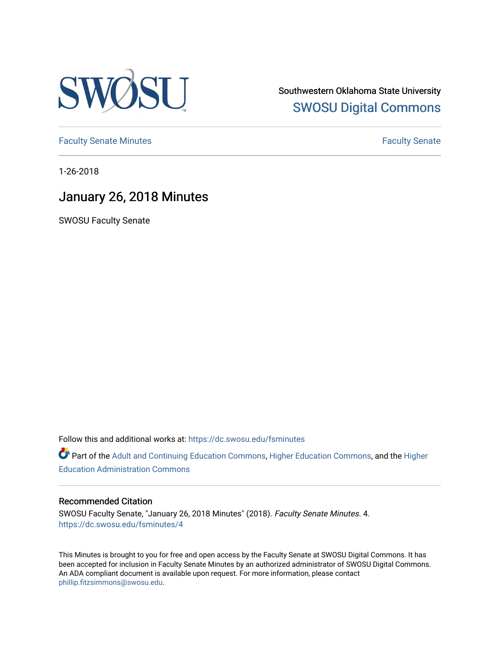

Southwestern Oklahoma State University [SWOSU Digital Commons](https://dc.swosu.edu/) 

[Faculty Senate Minutes](https://dc.swosu.edu/fsminutes) **Faculty** Senate Minutes

1-26-2018

## January 26, 2018 Minutes

SWOSU Faculty Senate

Follow this and additional works at: [https://dc.swosu.edu/fsminutes](https://dc.swosu.edu/fsminutes?utm_source=dc.swosu.edu%2Ffsminutes%2F4&utm_medium=PDF&utm_campaign=PDFCoverPages) 

Part of the [Adult and Continuing Education Commons,](http://network.bepress.com/hgg/discipline/1375?utm_source=dc.swosu.edu%2Ffsminutes%2F4&utm_medium=PDF&utm_campaign=PDFCoverPages) [Higher Education Commons,](http://network.bepress.com/hgg/discipline/1245?utm_source=dc.swosu.edu%2Ffsminutes%2F4&utm_medium=PDF&utm_campaign=PDFCoverPages) and the [Higher](http://network.bepress.com/hgg/discipline/791?utm_source=dc.swosu.edu%2Ffsminutes%2F4&utm_medium=PDF&utm_campaign=PDFCoverPages) [Education Administration Commons](http://network.bepress.com/hgg/discipline/791?utm_source=dc.swosu.edu%2Ffsminutes%2F4&utm_medium=PDF&utm_campaign=PDFCoverPages) 

## Recommended Citation

SWOSU Faculty Senate, "January 26, 2018 Minutes" (2018). Faculty Senate Minutes. 4. [https://dc.swosu.edu/fsminutes/4](https://dc.swosu.edu/fsminutes/4?utm_source=dc.swosu.edu%2Ffsminutes%2F4&utm_medium=PDF&utm_campaign=PDFCoverPages)

This Minutes is brought to you for free and open access by the Faculty Senate at SWOSU Digital Commons. It has been accepted for inclusion in Faculty Senate Minutes by an authorized administrator of SWOSU Digital Commons. An ADA compliant document is available upon request. For more information, please contact [phillip.fitzsimmons@swosu.edu](mailto:phillip.fitzsimmons@swosu.edu).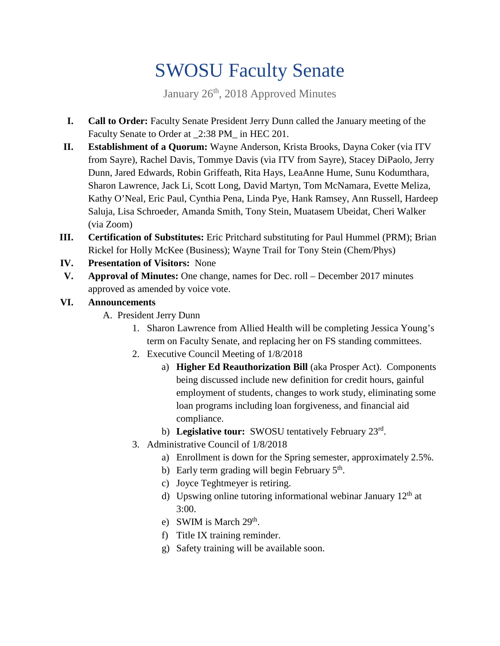## SWOSU Faculty Senate

January 26<sup>th</sup>, 2018 Approved Minutes

- **I. Call to Order:** Faculty Senate President Jerry Dunn called the January meeting of the Faculty Senate to Order at \_2:38 PM\_ in HEC 201.
- **II. Establishment of a Quorum:** Wayne Anderson, Krista Brooks, Dayna Coker (via ITV from Sayre), Rachel Davis, Tommye Davis (via ITV from Sayre), Stacey DiPaolo, Jerry Dunn, Jared Edwards, Robin Griffeath, Rita Hays, LeaAnne Hume, Sunu Kodumthara, Sharon Lawrence, Jack Li, Scott Long, David Martyn, Tom McNamara, Evette Meliza, Kathy O'Neal, Eric Paul, Cynthia Pena, Linda Pye, Hank Ramsey, Ann Russell, Hardeep Saluja, Lisa Schroeder, Amanda Smith, Tony Stein, Muatasem Ubeidat, Cheri Walker (via Zoom)
- **III. Certification of Substitutes:** Eric Pritchard substituting for Paul Hummel (PRM); Brian Rickel for Holly McKee (Business); Wayne Trail for Tony Stein (Chem/Phys)
- **IV. Presentation of Visitors:** None
- **V. Approval of Minutes:** One change, names for Dec. roll December 2017 minutes approved as amended by voice vote.

## **VI. Announcements**

- A. President Jerry Dunn
	- 1. Sharon Lawrence from Allied Health will be completing Jessica Young's term on Faculty Senate, and replacing her on FS standing committees.
	- 2. Executive Council Meeting of 1/8/2018
		- a) **Higher Ed Reauthorization Bill** (aka Prosper Act). Components being discussed include new definition for credit hours, gainful employment of students, changes to work study, eliminating some loan programs including loan forgiveness, and financial aid compliance.
		- b) **Legislative tour:** SWOSU tentatively February 23rd.
	- 3. Administrative Council of 1/8/2018
		- a) Enrollment is down for the Spring semester, approximately 2.5%.
		- b) Early term grading will begin February  $5<sup>th</sup>$ .
		- c) Joyce Teghtmeyer is retiring.
		- d) Upswing online tutoring informational webinar January 12<sup>th</sup> at 3:00.
		- e) SWIM is March  $29<sup>th</sup>$ .
		- f) Title IX training reminder.
		- g) Safety training will be available soon.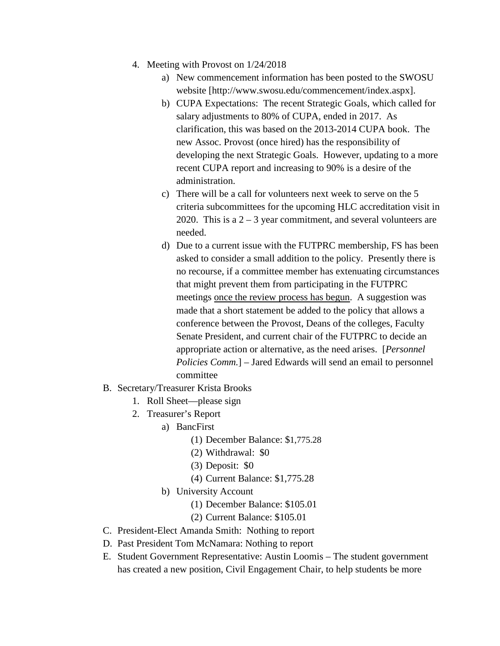- 4. Meeting with Provost on 1/24/2018
	- a) New commencement information has been posted to the SWOSU website [http://www.swosu.edu/commencement/index.aspx].
	- b) CUPA Expectations: The recent Strategic Goals, which called for salary adjustments to 80% of CUPA, ended in 2017. As clarification, this was based on the 2013-2014 CUPA book. The new Assoc. Provost (once hired) has the responsibility of developing the next Strategic Goals. However, updating to a more recent CUPA report and increasing to 90% is a desire of the administration.
	- c) There will be a call for volunteers next week to serve on the 5 criteria subcommittees for the upcoming HLC accreditation visit in 2020. This is a  $2 - 3$  year commitment, and several volunteers are needed.
	- d) Due to a current issue with the FUTPRC membership, FS has been asked to consider a small addition to the policy. Presently there is no recourse, if a committee member has extenuating circumstances that might prevent them from participating in the FUTPRC meetings once the review process has begun. A suggestion was made that a short statement be added to the policy that allows a conference between the Provost, Deans of the colleges, Faculty Senate President, and current chair of the FUTPRC to decide an appropriate action or alternative, as the need arises. [*Personnel Policies Comm.*] – Jared Edwards will send an email to personnel committee
- B. Secretary/Treasurer Krista Brooks
	- 1. Roll Sheet—please sign
	- 2. Treasurer's Report
		- a) BancFirst
			- (1) December Balance: \$1,775.28
			- (2) Withdrawal: \$0
			- (3) Deposit: \$0
			- (4) Current Balance: \$1,775.28
			- b) University Account
				- (1) December Balance: \$105.01
				- (2) Current Balance: \$105.01
- C. President-Elect Amanda Smith: Nothing to report
- D. Past President Tom McNamara: Nothing to report
- E. Student Government Representative: Austin Loomis The student government has created a new position, Civil Engagement Chair, to help students be more